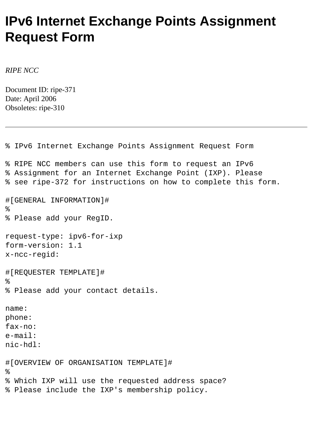## **IPv6 Internet Exchange Points Assignment Request Form**

*RIPE NCC*

Document ID: ripe-371 Date: April 2006 Obsoletes: ripe-310

```
% IPv6 Internet Exchange Points Assignment Request Form
% RIPE NCC members can use this form to request an IPv6
% Assignment for an Internet Exchange Point (IXP). Please
% see ripe-372 for instructions on how to complete this form.
#[GENERAL INFORMATION]#
\approx% Please add your RegID.
request-type: ipv6-for-ixp
form-version: 1.1
x-ncc-regid: 
#[REQUESTER TEMPLATE]#
\,% Please add your contact details.
name: 
phone: 
fax-no: 
e-mail: 
nic-hdl:
#[OVERVIEW OF ORGANISATION TEMPLATE]#
\epsilon% Which IXP will use the requested address space? 
% Please include the IXP's membership policy.
```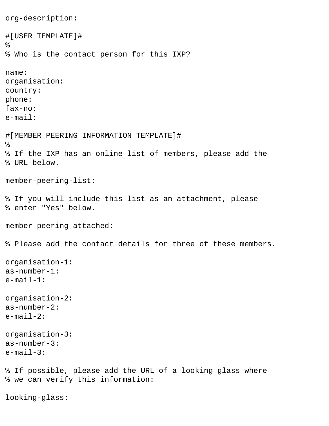```
org-description:
#[USER TEMPLATE]#
%
% Who is the contact person for this IXP?
name:
organisation:
country:
phone:
fax-no:
e-mail:
#[MEMBER PEERING INFORMATION TEMPLATE]#
\epsilon% If the IXP has an online list of members, please add the 
% URL below.
member-peering-list:
% If you will include this list as an attachment, please
% enter "Yes" below.
member-peering-attached:
% Please add the contact details for three of these members.
organisation-1:
as-number-1:
e-mail-1:
organisation-2:
as-number-2:
e-mail-2:
organisation-3:
as-number-3:
e-mail-3:
% If possible, please add the URL of a looking glass where 
% we can verify this information:
looking-glass:
```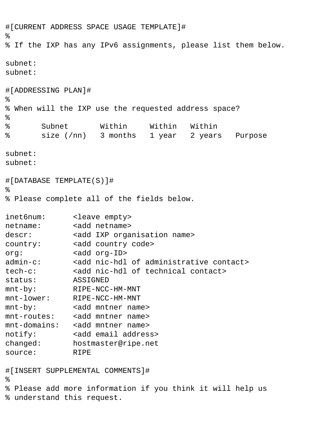```
#[CURRENT ADDRESS SPACE USAGE TEMPLATE]#
\epsilon% If the IXP has any IPv6 assignments, please list them below.
subnet:
subnet:
#[ADDRESSING PLAN]#
%
% When will the IXP use the requested address space?
\epsilon% Subnet Within Within Within
% size (/nn) 3 months 1 year 2 years Purpose
subnet:
subnet:
#[DATABASE TEMPLATE(S)]#
\epsilon% Please complete all of the fields below.
inet6num: <leave empty>
netname: <add netname>
descr: <add IXP organisation name>
country: <add country code>
org: <add org-ID>
admin-c: <add nic-hdl of administrative contact>
tech-c: <add nic-hdl of technical contact>
status: ASSIGNED
mnt-by: RIPE-NCC-HM-MNT 
mnt-lower: RIPE-NCC-HM-MNT
mnt-by: <add mntner name>
mnt-routes: <add mntner name>
mnt-domains: <add mntner name>
notify: <add email address>
changed: hostmaster@ripe.net
source: RIPE 
#[INSERT SUPPLEMENTAL COMMENTS]#
%
% Please add more information if you think it will help us
% understand this request.
```